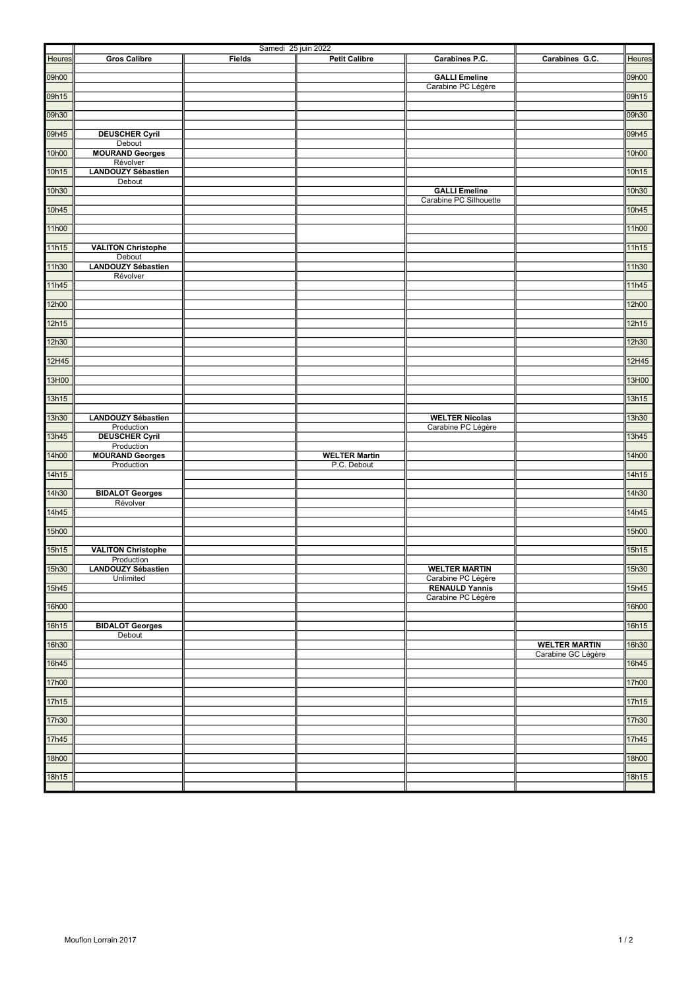|               |                                        | Samedi 25 juin 2022 |                      |                                            |                                            |        |
|---------------|----------------------------------------|---------------------|----------------------|--------------------------------------------|--------------------------------------------|--------|
| <b>Heures</b> | <b>Gros Calibre</b>                    | <b>Fields</b>       | <b>Petit Calibre</b> | Carabines P.C.                             | Carabines G.C.                             | Heures |
| 09h00         |                                        |                     |                      | <b>GALLI Emeline</b>                       |                                            | 09h00  |
| 09h15         |                                        |                     |                      | Carabine PC Légère                         |                                            | 09h15  |
| 09h30         |                                        |                     |                      |                                            |                                            | 09h30  |
|               |                                        |                     |                      |                                            |                                            |        |
| 09h45         | <b>DEUSCHER Cyril</b><br>Debout        |                     |                      |                                            |                                            | 09h45  |
| 10h00         | <b>MOURAND Georges</b>                 |                     |                      |                                            |                                            | 10h00  |
| 10h15         | Révolver<br><b>LANDOUZY Sébastien</b>  |                     |                      |                                            |                                            | 10h15  |
| 10h30         | Debout                                 |                     |                      | <b>GALLI Emeline</b>                       |                                            | 10h30  |
|               |                                        |                     |                      | Carabine PC Silhouette                     |                                            |        |
| 10h45         |                                        |                     |                      |                                            |                                            | 10h45  |
| 11h00         |                                        |                     |                      |                                            |                                            | 11h00  |
| 11h15         | <b>VALITON Christophe</b>              |                     |                      |                                            |                                            | 11h15  |
| 11h30         | Debout<br><b>LANDOUZY Sébastien</b>    |                     |                      |                                            |                                            | 11h30  |
| 11h45         | Révolver                               |                     |                      |                                            |                                            | 11h45  |
|               |                                        |                     |                      |                                            |                                            |        |
| 12h00         |                                        |                     |                      |                                            |                                            | 12h00  |
| 12h15         |                                        |                     |                      |                                            |                                            | 12h15  |
| 12h30         |                                        |                     |                      |                                            |                                            | 12h30  |
| 12H45         |                                        |                     |                      |                                            |                                            | 12H45  |
|               |                                        |                     |                      |                                            |                                            |        |
| 13H00         |                                        |                     |                      |                                            |                                            | 13H00  |
| 13h15         |                                        |                     |                      |                                            |                                            | 13h15  |
| 13h30         | <b>LANDOUZY Sébastien</b>              |                     |                      | <b>WELTER Nicolas</b>                      |                                            | 13h30  |
| 13h45         | Production<br><b>DEUSCHER Cyril</b>    |                     |                      | Carabine PC Légère                         |                                            | 13h45  |
| 14h00         | Production<br><b>MOURAND Georges</b>   |                     | <b>WELTER Martin</b> |                                            |                                            | 14h00  |
|               | Production                             |                     | P.C. Debout          |                                            |                                            |        |
| 14h15         |                                        |                     |                      |                                            |                                            | 14h15  |
| 14h30         | <b>BIDALOT Georges</b><br>Révolver     |                     |                      |                                            |                                            | 14h30  |
| 14h45         |                                        |                     |                      |                                            |                                            | 14h45  |
| 15h00         |                                        |                     |                      |                                            |                                            | 15h00  |
|               | <b>VALITON Christophe</b>              |                     |                      |                                            |                                            | 15h15  |
| 15h15         | Production                             |                     |                      |                                            |                                            |        |
| 15h30         | <b>LANDOUZY Sébastien</b><br>Unlimited |                     |                      | <b>WELTER MARTIN</b><br>Carabine PC Légère |                                            | 15h30  |
| 15h45         |                                        |                     |                      | <b>RENAULD Yannis</b>                      |                                            | 15h45  |
| 16h00         |                                        |                     |                      | Carabine PC Légère                         |                                            | 16h00  |
| 16h15         | <b>BIDALOT Georges</b>                 |                     |                      |                                            |                                            | 16h15  |
|               | Debout                                 |                     |                      |                                            |                                            |        |
| 16h30         |                                        |                     |                      |                                            | <b>WELTER MARTIN</b><br>Carabine GC Légère | 16h30  |
| 16h45         |                                        |                     |                      |                                            |                                            | 16h45  |
| 17h00         |                                        |                     |                      |                                            |                                            | 17h00  |
| 17h15         |                                        |                     |                      |                                            |                                            | 17h15  |
| 17h30         |                                        |                     |                      |                                            |                                            | 17h30  |
|               |                                        |                     |                      |                                            |                                            |        |
| 17h45         |                                        |                     |                      |                                            |                                            | 17h45  |
| 18h00         |                                        |                     |                      |                                            |                                            | 18h00  |
| 18h15         |                                        |                     |                      |                                            |                                            | 18h15  |
|               |                                        |                     |                      |                                            |                                            |        |